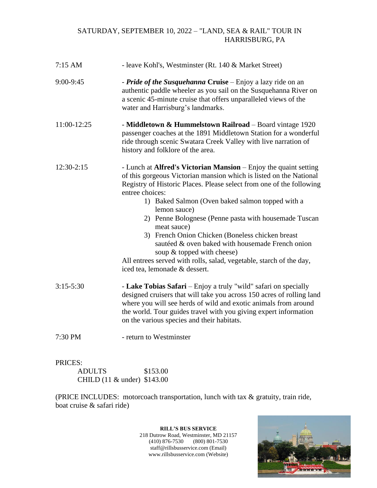## SATURDAY, SEPTEMBER 10, 2022 – "LAND, SEA & RAIL" TOUR IN HARRISBURG, PA

| $7:15$ AM     | - leave Kohl's, Westminster (Rt. 140 & Market Street)                                                                                                                                                                                                                                                                                                                                                                                                                                                                                                                                                                       |  |
|---------------|-----------------------------------------------------------------------------------------------------------------------------------------------------------------------------------------------------------------------------------------------------------------------------------------------------------------------------------------------------------------------------------------------------------------------------------------------------------------------------------------------------------------------------------------------------------------------------------------------------------------------------|--|
| 9:00-9:45     | - Pride of the Susquehanna Cruise – Enjoy a lazy ride on an<br>authentic paddle wheeler as you sail on the Susquehanna River on<br>a scenic 45-minute cruise that offers unparalleled views of the<br>water and Harrisburg's landmarks.                                                                                                                                                                                                                                                                                                                                                                                     |  |
| 11:00-12:25   | - Middletown & Hummelstown Railroad - Board vintage 1920<br>passenger coaches at the 1891 Middletown Station for a wonderful<br>ride through scenic Swatara Creek Valley with live narration of<br>history and folklore of the area.                                                                                                                                                                                                                                                                                                                                                                                        |  |
| $12:30-2:15$  | - Lunch at Alfred's Victorian Mansion - Enjoy the quaint setting<br>of this gorgeous Victorian mansion which is listed on the National<br>Registry of Historic Places. Please select from one of the following<br>entree choices:<br>1) Baked Salmon (Oven baked salmon topped with a<br>lemon sauce)<br>2) Penne Bolognese (Penne pasta with housemade Tuscan<br>meat sauce)<br>3) French Onion Chicken (Boneless chicken breast<br>sautéed & oven baked with housemade French onion<br>soup & topped with cheese)<br>All entrees served with rolls, salad, vegetable, starch of the day,<br>iced tea, lemonade & dessert. |  |
| $3:15 - 5:30$ | - Lake Tobias Safari - Enjoy a truly "wild" safari on specially<br>designed cruisers that will take you across 150 acres of rolling land<br>where you will see herds of wild and exotic animals from around<br>the world. Tour guides travel with you giving expert information<br>on the various species and their habitats.                                                                                                                                                                                                                                                                                               |  |
| 7:30 PM       | - return to Westminster                                                                                                                                                                                                                                                                                                                                                                                                                                                                                                                                                                                                     |  |

## PRICES:

| <b>ADULTS</b>               | \$153.00 |
|-----------------------------|----------|
| CHILD (11 & under) \$143.00 |          |

(PRICE INCLUDES: motorcoach transportation, lunch with tax & gratuity, train ride, boat cruise & safari ride)

> **RILL'S BUS SERVICE** 218 Dutrow Road, Westminster, MD 21157 (410) 876-7530 (800) 801-7530 staff@rillsbusservice.com (Email) www.rillsbusservice.com (Website)